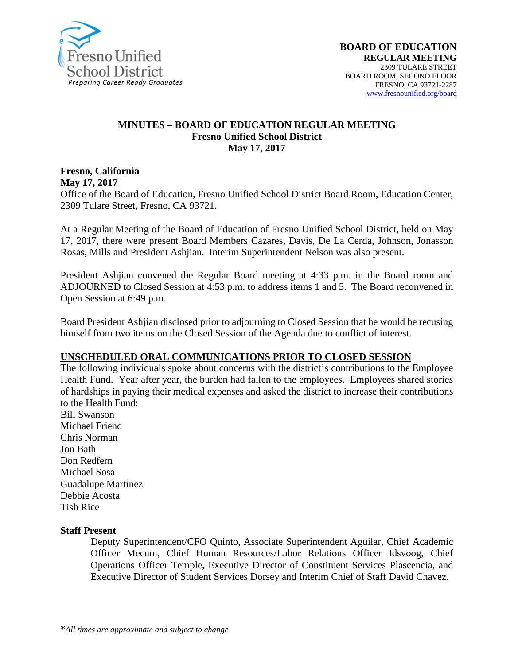

#### **MINUTES – BOARD OF EDUCATION REGULAR MEETING Fresno Unified School District May 17, 2017**

**Fresno, California May 17, 2017** 

Office of the Board of Education, Fresno Unified School District Board Room, Education Center, 2309 Tulare Street, Fresno, CA 93721.

At a Regular Meeting of the Board of Education of Fresno Unified School District, held on May 17, 2017, there were present Board Members Cazares, Davis, De La Cerda, Johnson, Jonasson Rosas, Mills and President Ashjian. Interim Superintendent Nelson was also present.

President Ashjian convened the Regular Board meeting at 4:33 p.m. in the Board room and ADJOURNED to Closed Session at 4:53 p.m. to address items 1 and 5. The Board reconvened in Open Session at 6:49 p.m.

Board President Ashjian disclosed prior to adjourning to Closed Session that he would be recusing himself from two items on the Closed Session of the Agenda due to conflict of interest.

#### **UNSCHEDULED ORAL COMMUNICATIONS PRIOR TO CLOSED SESSION**

The following individuals spoke about concerns with the district's contributions to the Employee Health Fund. Year after year, the burden had fallen to the employees. Employees shared stories of hardships in paying their medical expenses and asked the district to increase their contributions to the Health Fund:

Bill Swanson Michael Friend Chris Norman Jon Bath Don Redfern Michael Sosa Guadalupe Martinez Debbie Acosta Tish Rice

#### **Staff Present**

Deputy Superintendent/CFO Quinto, Associate Superintendent Aguilar, Chief Academic Officer Mecum, Chief Human Resources/Labor Relations Officer Idsvoog, Chief Operations Officer Temple, Executive Director of Constituent Services Plascencia, and Executive Director of Student Services Dorsey and Interim Chief of Staff David Chavez.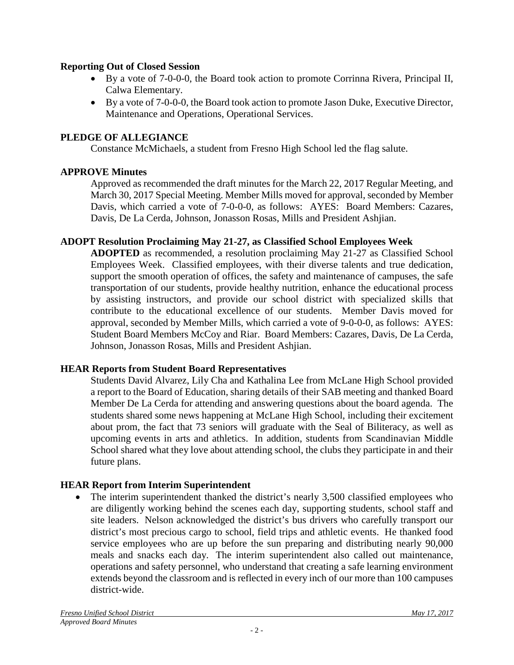#### **Reporting Out of Closed Session**

- By a vote of 7-0-0-0, the Board took action to promote Corrinna Rivera, Principal II, Calwa Elementary.
- By a vote of 7-0-0-0, the Board took action to promote Jason Duke, Executive Director, Maintenance and Operations, Operational Services.

## **PLEDGE OF ALLEGIANCE**

Constance McMichaels, a student from Fresno High School led the flag salute.

## **APPROVE Minutes**

Approved as recommended the draft minutes for the March 22, 2017 Regular Meeting, and March 30, 2017 Special Meeting. Member Mills moved for approval, seconded by Member Davis, which carried a vote of 7-0-0-0, as follows: AYES: Board Members: Cazares, Davis, De La Cerda, Johnson, Jonasson Rosas, Mills and President Ashjian.

#### **ADOPT Resolution Proclaiming May 21-27, as Classified School Employees Week**

**ADOPTED** as recommended, a resolution proclaiming May 21-27 as Classified School Employees Week. Classified employees, with their diverse talents and true dedication, support the smooth operation of offices, the safety and maintenance of campuses, the safe transportation of our students, provide healthy nutrition, enhance the educational process by assisting instructors, and provide our school district with specialized skills that contribute to the educational excellence of our students. Member Davis moved for approval, seconded by Member Mills, which carried a vote of 9-0-0-0, as follows: AYES: Student Board Members McCoy and Riar. Board Members: Cazares, Davis, De La Cerda, Johnson, Jonasson Rosas, Mills and President Ashjian.

## **HEAR Reports from Student Board Representatives**

Students David Alvarez, Lily Cha and Kathalina Lee from McLane High School provided a report to the Board of Education, sharing details of their SAB meeting and thanked Board Member De La Cerda for attending and answering questions about the board agenda. The students shared some news happening at McLane High School, including their excitement about prom, the fact that 73 seniors will graduate with the Seal of Biliteracy, as well as upcoming events in arts and athletics. In addition, students from Scandinavian Middle School shared what they love about attending school, the clubs they participate in and their future plans.

## **HEAR Report from Interim Superintendent**

The interim superintendent thanked the district's nearly 3,500 classified employees who are diligently working behind the scenes each day, supporting students, school staff and site leaders. Nelson acknowledged the district's bus drivers who carefully transport our district's most precious cargo to school, field trips and athletic events. He thanked food service employees who are up before the sun preparing and distributing nearly 90,000 meals and snacks each day. The interim superintendent also called out maintenance, operations and safety personnel, who understand that creating a safe learning environment extends beyond the classroom and is reflected in every inch of our more than 100 campuses district-wide.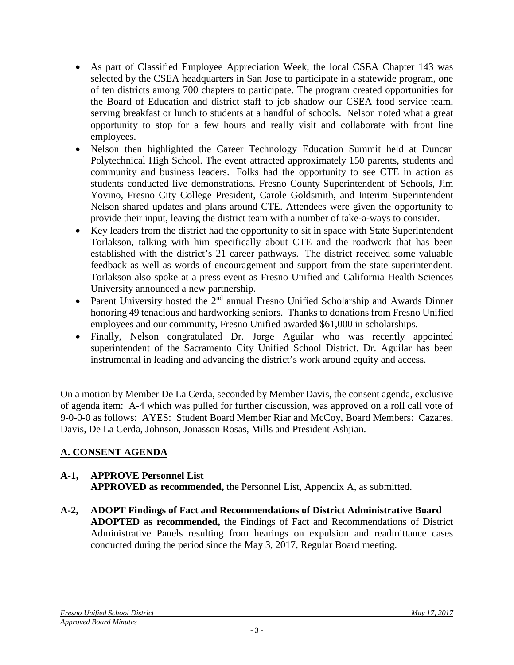- As part of Classified Employee Appreciation Week, the local CSEA Chapter 143 was selected by the CSEA headquarters in San Jose to participate in a statewide program, one of ten districts among 700 chapters to participate. The program created opportunities for the Board of Education and district staff to job shadow our CSEA food service team, serving breakfast or lunch to students at a handful of schools. Nelson noted what a great opportunity to stop for a few hours and really visit and collaborate with front line employees.
- Nelson then highlighted the Career Technology Education Summit held at Duncan Polytechnical High School. The event attracted approximately 150 parents, students and community and business leaders. Folks had the opportunity to see CTE in action as students conducted live demonstrations. Fresno County Superintendent of Schools, Jim Yovino, Fresno City College President, Carole Goldsmith, and Interim Superintendent Nelson shared updates and plans around CTE. Attendees were given the opportunity to provide their input, leaving the district team with a number of take-a-ways to consider.
- Key leaders from the district had the opportunity to sit in space with State Superintendent Torlakson, talking with him specifically about CTE and the roadwork that has been established with the district's 21 career pathways. The district received some valuable feedback as well as words of encouragement and support from the state superintendent. Torlakson also spoke at a press event as Fresno Unified and California Health Sciences University announced a new partnership.
- Parent University hosted the  $2<sup>nd</sup>$  annual Fresno Unified Scholarship and Awards Dinner honoring 49 tenacious and hardworking seniors. Thanks to donations from Fresno Unified employees and our community, Fresno Unified awarded \$61,000 in scholarships.
- Finally, Nelson congratulated Dr. Jorge Aguilar who was recently appointed superintendent of the Sacramento City Unified School District. Dr. Aguilar has been instrumental in leading and advancing the district's work around equity and access.

On a motion by Member De La Cerda, seconded by Member Davis, the consent agenda, exclusive of agenda item: A-4 which was pulled for further discussion, was approved on a roll call vote of 9-0-0-0 as follows: AYES: Student Board Member Riar and McCoy, Board Members: Cazares, Davis, De La Cerda, Johnson, Jonasson Rosas, Mills and President Ashjian.

# **A. CONSENT AGENDA**

# **A-1, APPROVE Personnel List**

**APPROVED as recommended,** the Personnel List, Appendix A, as submitted.

**A-2, ADOPT Findings of Fact and Recommendations of District Administrative Board ADOPTED as recommended,** the Findings of Fact and Recommendations of District Administrative Panels resulting from hearings on expulsion and readmittance cases conducted during the period since the May 3, 2017, Regular Board meeting.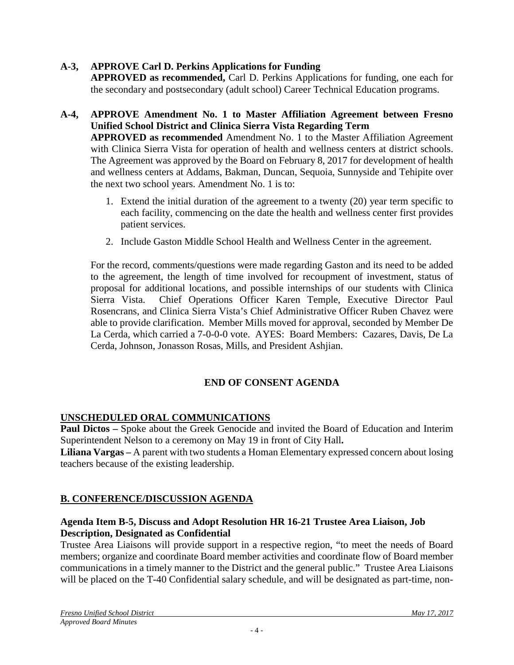## **A-3, APPROVE Carl D. Perkins Applications for Funding**

**APPROVED as recommended,** Carl D. Perkins Applications for funding, one each for the secondary and postsecondary (adult school) Career Technical Education programs.

## **A-4, APPROVE Amendment No. 1 to Master Affiliation Agreement between Fresno Unified School District and Clinica Sierra Vista Regarding Term**

**APPROVED as recommended** Amendment No. 1 to the Master Affiliation Agreement with Clinica Sierra Vista for operation of health and wellness centers at district schools. The Agreement was approved by the Board on February 8, 2017 for development of health and wellness centers at Addams, Bakman, Duncan, Sequoia, Sunnyside and Tehipite over the next two school years. Amendment No. 1 is to:

- 1. Extend the initial duration of the agreement to a twenty (20) year term specific to each facility, commencing on the date the health and wellness center first provides patient services.
- 2. Include Gaston Middle School Health and Wellness Center in the agreement.

For the record, comments/questions were made regarding Gaston and its need to be added to the agreement, the length of time involved for recoupment of investment, status of proposal for additional locations, and possible internships of our students with Clinica Sierra Vista. Chief Operations Officer Karen Temple, Executive Director Paul Rosencrans, and Clinica Sierra Vista's Chief Administrative Officer Ruben Chavez were able to provide clarification. Member Mills moved for approval, seconded by Member De La Cerda, which carried a 7-0-0-0 vote. AYES: Board Members: Cazares, Davis, De La Cerda, Johnson, Jonasson Rosas, Mills, and President Ashjian.

## **END OF CONSENT AGENDA**

## **UNSCHEDULED ORAL COMMUNICATIONS**

**Paul Dictos –** Spoke about the Greek Genocide and invited the Board of Education and Interim Superintendent Nelson to a ceremony on May 19 in front of City Hall**.** 

**Liliana Vargas –** A parent with two students a Homan Elementary expressed concern about losing teachers because of the existing leadership.

#### **B. CONFERENCE/DISCUSSION AGENDA**

#### **Agenda Item B-5, Discuss and Adopt Resolution HR 16-21 Trustee Area Liaison, Job Description, Designated as Confidential**

Trustee Area Liaisons will provide support in a respective region, "to meet the needs of Board members; organize and coordinate Board member activities and coordinate flow of Board member communications in a timely manner to the District and the general public." Trustee Area Liaisons will be placed on the T-40 Confidential salary schedule, and will be designated as part-time, non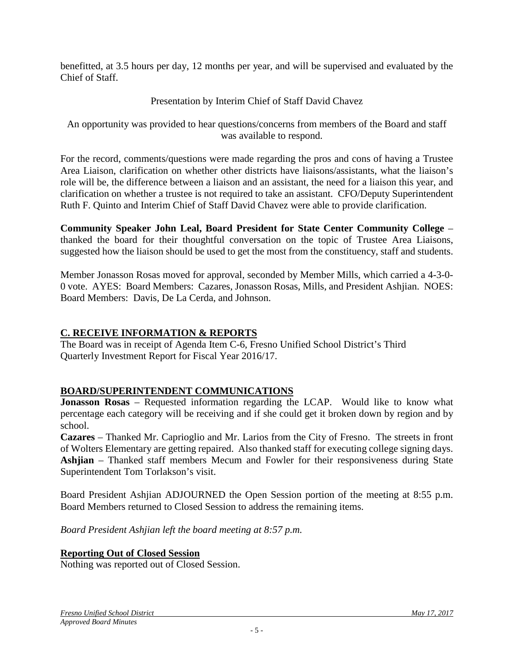benefitted, at 3.5 hours per day, 12 months per year, and will be supervised and evaluated by the Chief of Staff.

# Presentation by Interim Chief of Staff David Chavez

An opportunity was provided to hear questions/concerns from members of the Board and staff was available to respond.

For the record, comments/questions were made regarding the pros and cons of having a Trustee Area Liaison, clarification on whether other districts have liaisons/assistants, what the liaison's role will be, the difference between a liaison and an assistant, the need for a liaison this year, and clarification on whether a trustee is not required to take an assistant. CFO/Deputy Superintendent Ruth F. Quinto and Interim Chief of Staff David Chavez were able to provide clarification.

**Community Speaker John Leal, Board President for State Center Community College** – thanked the board for their thoughtful conversation on the topic of Trustee Area Liaisons, suggested how the liaison should be used to get the most from the constituency, staff and students.

Member Jonasson Rosas moved for approval, seconded by Member Mills, which carried a 4-3-0- 0 vote. AYES: Board Members: Cazares, Jonasson Rosas, Mills, and President Ashjian. NOES: Board Members: Davis, De La Cerda, and Johnson.

## **C. RECEIVE INFORMATION & REPORTS**

The Board was in receipt of Agenda Item C-6, Fresno Unified School District's Third Quarterly Investment Report for Fiscal Year 2016/17.

## **BOARD/SUPERINTENDENT COMMUNICATIONS**

**Jonasson Rosas** – Requested information regarding the LCAP. Would like to know what percentage each category will be receiving and if she could get it broken down by region and by school.

**Cazares** – Thanked Mr. Caprioglio and Mr. Larios from the City of Fresno. The streets in front of Wolters Elementary are getting repaired. Also thanked staff for executing college signing days. **Ashjian** – Thanked staff members Mecum and Fowler for their responsiveness during State Superintendent Tom Torlakson's visit.

Board President Ashjian ADJOURNED the Open Session portion of the meeting at 8:55 p.m. Board Members returned to Closed Session to address the remaining items.

*Board President Ashjian left the board meeting at 8:57 p.m.*

## **Reporting Out of Closed Session**

Nothing was reported out of Closed Session.